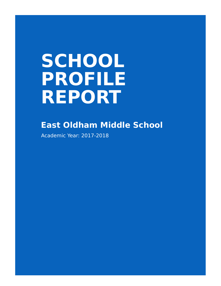# **SCHOOL PROFILE REPORT**

# **East Oldham Middle School**

Academic Year: 2017-2018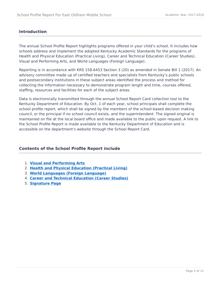## **Introduction**

The annual School Profile Report highlights programs offered in your child's school. It includes how schools address and implement the adopted Kentucky Academic Standards for the programs of Health and Physical Education (Practical Living), Career and Technical Education (Career Studies), Visual and Performing Arts, and World Languages (Foreign Language).

Reporting is in accordance with KRS 158.6453 Section 3 (20) as amended in Senate Bill 1 (2017). An advisory committee made up of certified teachers and specialists from Kentucky's public schools and postsecondary institutions in these subject areas identified the process and method for collecting the information necessary to demonstrate program length and time, courses offered, staffing, resources and facilities for each of the subject areas.

Data is electronically transmitted through the annual School Report Card collection tool to the Kentucky Department of Education. By Oct. 1 of each year, school principals shall complete the school profile report, which shall be signed by the members of the school-based decision making council, or the principal if no school council exists, and the superintendent. The signed original is maintained on file at the local board office and made available to the public upon request. A link to the School Profile Report is made available to the Kentucky Department of Education and is accessible on the department's website through the School Report Card.

# **Contents of the School Profile Report include**

- 1. **[Visual and Performing Arts](#page-2-0)**
- 2. **[Health and Physical Education \(Practical Living\)](#page-4-0)**
- 3. **[World Languages \(Foreign Language\)](#page-6-0)**
- 4. **[Career and Technical Education \(Career Studies\)](#page-8-0)**
- 5. **[Signature Page](#page-10-0)**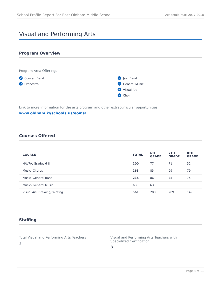# <span id="page-2-0"></span>Visual and Performing Arts

## **Program Overview**



Link to more information for the arts program and other extracurricular opportunities.

## **[www.oldham.kyschools.us/eoms/](https://www.oldham.kyschools.us/eoms/)**

# **Courses Offered**

| <b>COURSE</b>                | <b>TOTAL</b> | 6TH<br><b>GRADE</b> | 7TH<br><b>GRADE</b> | 8TH<br><b>GRADE</b> |
|------------------------------|--------------|---------------------|---------------------|---------------------|
| HAVPA, Grades 6-8            | 200          | 77                  | 71                  | 52                  |
| Music- Chorus                | 263          | 85                  | 99                  | 79                  |
| Music- General Band          | 235          | 86                  | 75                  | 74                  |
| Music- General Music         | 63           | 63                  |                     |                     |
| Visual Art- Drawing/Painting | 561          | 203                 | 209                 | 149                 |

# **Staffing**

**3**

Total Visual and Performing Arts Teachers

Visual and Performing Arts Teachers with Specialized Certification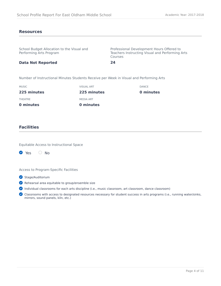#### **Resources**

School Budget Allocation to the Visual and Performing Arts Program

Professional Development Hours Offered to Teachers Instructing Visual and Performing Arts Courses

#### **Data Not Reported**

Number of Instructional Minutes Students Receive per Week in Visual and Performing Arts

**24**

| 0 minutes    | 0 minutes         |              |
|--------------|-------------------|--------------|
| THEATRE      | MEDIA ART         |              |
| 225 minutes  | 225 minutes       | 0 minutes    |
| <b>MUSIC</b> | <b>VISUAL ART</b> | <b>DANCE</b> |
|              |                   |              |

#### **Facilities**

Equitable Access to Instructional Space



Access to Program-Specific Facilities

- Stage/Auditorium
- Rehearsal area equitable to group/ensemble size
- Individual classrooms for each arts discipline (i.e., music classroom, art classroom, dance classroom)

Classrooms with access to designated resources necessary for student success in arts programs (i.e., running water/sinks, mirrors, sound panels, kiln, etc.)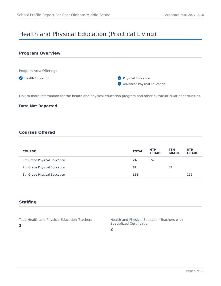# <span id="page-4-0"></span>Health and Physical Education (Practical Living)



Link to more information for the health and physical education program and other extracurricular opportunities.

#### **Data Not Reported**

# **Courses Offered**

| <b>COURSE</b>                | <b>TOTAL</b> | 6TH<br><b>GRADE</b> | 7TH<br><b>GRADE</b> | 8TH<br><b>GRADE</b> |
|------------------------------|--------------|---------------------|---------------------|---------------------|
| 6th Grade Physical Education | 74           | 74                  |                     |                     |
| 7th Grade Physical Education | 82           |                     | 82                  |                     |
| 8th Grade Physical Education | 155          |                     |                     | 155                 |

# **Staffing**

**2**

Total Health and Physical Education Teachers

Health and Physical Education Teachers with Specialized Certification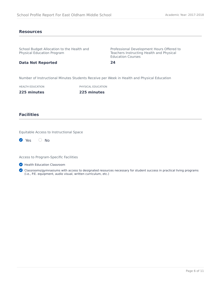#### **Resources**

| School Budget Allocation to the Health and<br><b>Physical Education Program</b>            |                    | Professional Development Hours Offered to<br>Teachers Instructing Health and Physical<br><b>Education Courses</b> |  |  |
|--------------------------------------------------------------------------------------------|--------------------|-------------------------------------------------------------------------------------------------------------------|--|--|
| <b>Data Not Reported</b>                                                                   |                    | 24                                                                                                                |  |  |
| Number of Instructional Minutes Students Receive per Week in Health and Physical Education |                    |                                                                                                                   |  |  |
| <b>HEALTH EDUCATION</b>                                                                    | PHYSICAL EDUCATION |                                                                                                                   |  |  |
| 225 minutes                                                                                | 225 minutes        |                                                                                                                   |  |  |
|                                                                                            |                    |                                                                                                                   |  |  |

# **Facilities**

Equitable Access to Instructional Space

| l vi | Yes | Nο |
|------|-----|----|
|      |     |    |

Access to Program-Specific Facilities

**Health Education Classroom** 

Classrooms/gymnasiums with access to designated resources necessary for student success in practical living programs (i.e., P.E. equipment, audio visual, written curriculum, etc.)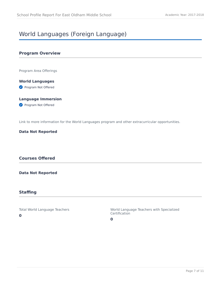# <span id="page-6-0"></span>World Languages (Foreign Language)

## **Program Overview**

Program Area Offerings

**World Languages Program Not Offered** 

# **Language Immersion**

Program Not Offered

Link to more information for the World Languages program and other extracurricular opportunities.

#### **Data Not Reported**

# **Courses Offered**

#### **Data Not Reported**

# **Staffing**

Total World Language Teachers **0**

World Language Teachers with Specialized Certification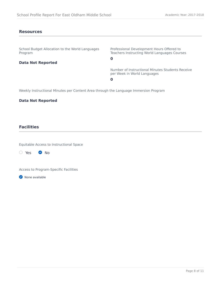#### **Resources**

School Budget Allocation to the World Languages Program

Professional Development Hours Offered to Teachers Instructing World Languages Courses

# **Data Not Reported**

**0**

Number of Instructional Minutes Students Receive per Week in World Languages

**0**

Weekly Instructional Minutes per Content Area through the Language Immersion Program

#### **Data Not Reported**

## **Facilities**

Equitable Access to Instructional Space

 $\bigcirc$  Yes  $\bigcirc$  No

Access to Program-Specific Facilities

**O** None available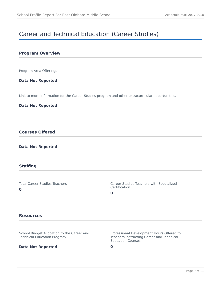# <span id="page-8-0"></span>Career and Technical Education (Career Studies)

## **Program Overview**

Program Area Offerings

#### **Data Not Reported**

Link to more information for the Career Studies program and other extracurricular opportunities.

#### **Data Not Reported**

# **Courses Offered**

#### **Data Not Reported**

#### **Staffing**

Total Career Studies Teachers

**0**

Career Studies Teachers with Specialized Certification

**0**

#### **Resources**

School Budget Allocation to the Career and Technical Education Program

#### **Data Not Reported**

Professional Development Hours Offered to Teachers Instructing Career and Technical Education Courses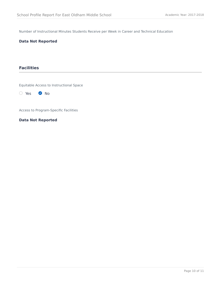Number of Instructional Minutes Students Receive per Week in Career and Technical Education

#### **Data Not Reported**

# **Facilities**

Equitable Access to Instructional Space

O Yes 2 No

Access to Program-Specific Facilities

**Data Not Reported**